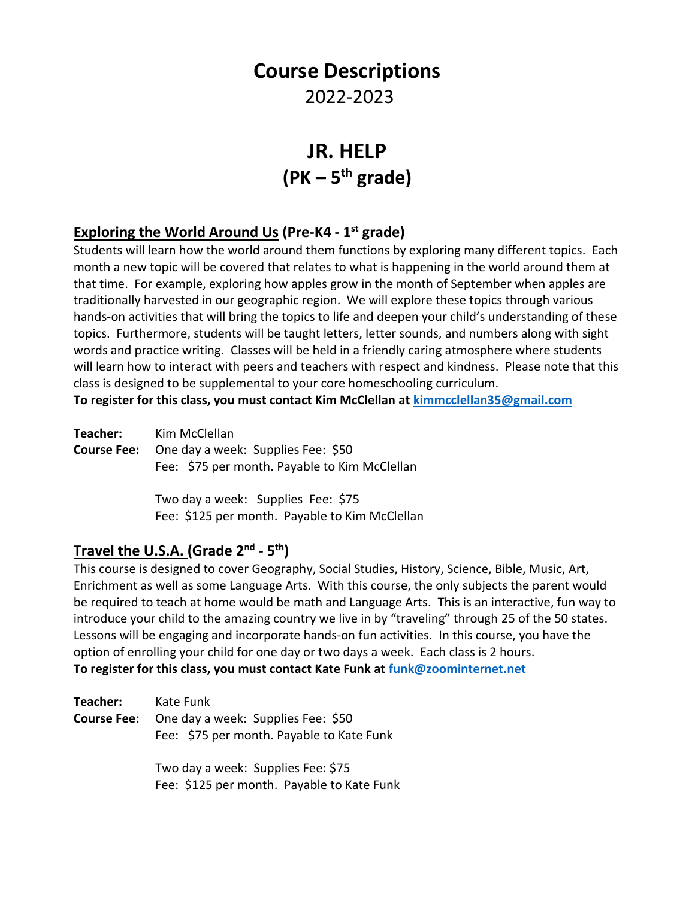# **Course Descriptions**

# 2022-2023

# **JR. HELP (PK – 5 th grade)**

### **Exploring the World Around Us (Pre-K4 - 1 st grade)**

Students will learn how the world around them functions by exploring many different topics. Each month a new topic will be covered that relates to what is happening in the world around them at that time. For example, exploring how apples grow in the month of September when apples are traditionally harvested in our geographic region. We will explore these topics through various hands-on activities that will bring the topics to life and deepen your child's understanding of these topics. Furthermore, students will be taught letters, letter sounds, and numbers along with sight words and practice writing. Classes will be held in a friendly caring atmosphere where students will learn how to interact with peers and teachers with respect and kindness. Please note that this class is designed to be supplemental to your core homeschooling curriculum.

**To register for this class, you must contact Kim McClellan at [kimmcclellan35@gmail.com](mailto:kimmcclellan35@gmail.com)**

| Teacher: | Kim McClellan                                         |
|----------|-------------------------------------------------------|
|          | <b>Course Fee:</b> One day a week: Supplies Fee: \$50 |
|          | Fee: \$75 per month. Payable to Kim McClellan         |

Two day a week: Supplies Fee: \$75 Fee: \$125 per month. Payable to Kim McClellan

# **Travel the U.S.A. (Grade 2 nd - 5 th)**

This course is designed to cover Geography, Social Studies, History, Science, Bible, Music, Art, Enrichment as well as some Language Arts. With this course, the only subjects the parent would be required to teach at home would be math and Language Arts. This is an interactive, fun way to introduce your child to the amazing country we live in by "traveling" through 25 of the 50 states. Lessons will be engaging and incorporate hands-on fun activities. In this course, you have the option of enrolling your child for one day or two days a week. Each class is 2 hours. **To register for this class, you must contact Kate Funk at [funk@zoominternet.net](mailto:funk@zoominternet.net)**

| Teacher:           | Kate Funk                                                                        |
|--------------------|----------------------------------------------------------------------------------|
| <b>Course Fee:</b> | One day a week: Supplies Fee: \$50<br>Fee: \$75 per month. Payable to Kate Funk  |
|                    | Two day a week: Supplies Fee: \$75<br>Fee: \$125 per month. Payable to Kate Funk |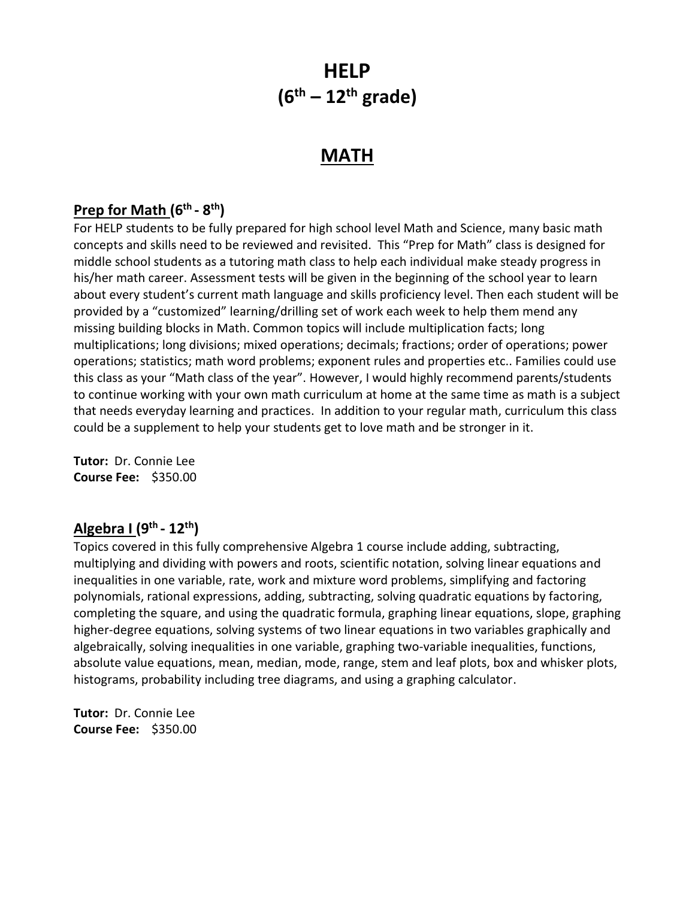# **HELP (6th – 12th grade)**

# **MATH**

# **Prep for Math (6th - 8 th)**

For HELP students to be fully prepared for high school level Math and Science, many basic math concepts and skills need to be reviewed and revisited. This "Prep for Math" class is designed for middle school students as a tutoring math class to help each individual make steady progress in his/her math career. Assessment tests will be given in the beginning of the school year to learn about every student's current math language and skills proficiency level. Then each student will be provided by a "customized" learning/drilling set of work each week to help them mend any missing building blocks in Math. Common topics will include multiplication facts; long multiplications; long divisions; mixed operations; decimals; fractions; order of operations; power operations; statistics; math word problems; exponent rules and properties etc.. Families could use this class as your "Math class of the year". However, I would highly recommend parents/students to continue working with your own math curriculum at home at the same time as math is a subject that needs everyday learning and practices. In addition to your regular math, curriculum this class could be a supplement to help your students get to love math and be stronger in it.

**Tutor:** Dr. Connie Lee **Course Fee:** \$350.00

### **Algebra I (9th - 12th)**

Topics covered in this fully comprehensive Algebra 1 course include adding, subtracting, multiplying and dividing with powers and roots, scientific notation, solving linear equations and inequalities in one variable, rate, work and mixture word problems, simplifying and factoring polynomials, rational expressions, adding, subtracting, solving quadratic equations by factoring, completing the square, and using the quadratic formula, graphing linear equations, slope, graphing higher-degree equations, solving systems of two linear equations in two variables graphically and algebraically, solving inequalities in one variable, graphing two-variable inequalities, functions, absolute value equations, mean, median, mode, range, stem and leaf plots, box and whisker plots, histograms, probability including tree diagrams, and using a graphing calculator.

**Tutor:** Dr. Connie Lee **Course Fee:** \$350.00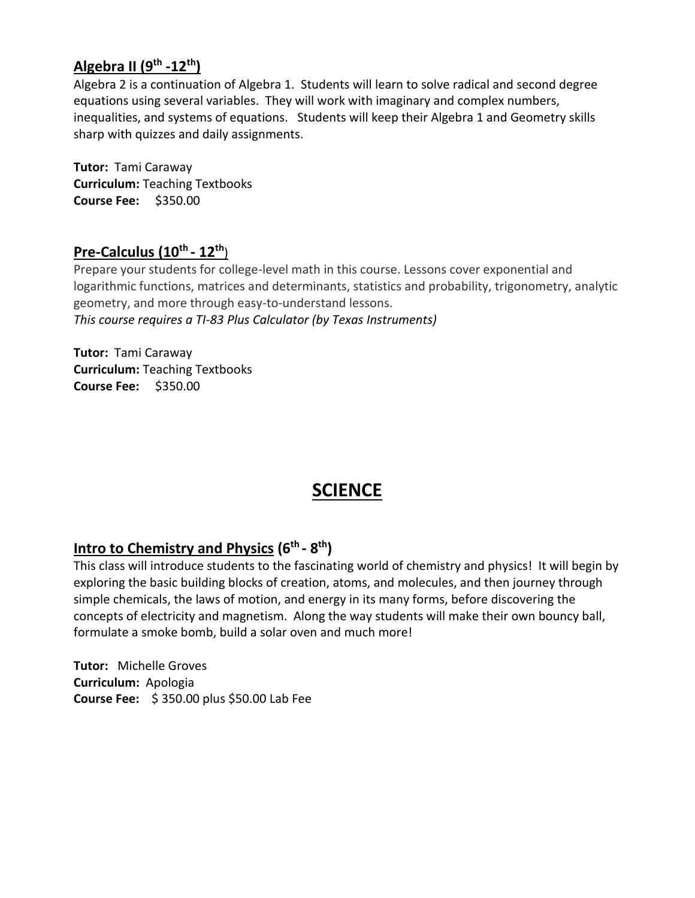### **Algebra II (9 th -12th)**

Algebra 2 is a continuation of Algebra 1. Students will learn to solve radical and second degree equations using several variables. They will work with imaginary and complex numbers, inequalities, and systems of equations. Students will keep their Algebra 1 and Geometry skills sharp with quizzes and daily assignments.

**Tutor:** Tami Caraway **Curriculum:** Teaching Textbooks **Course Fee:** \$350.00

#### **Pre-Calculus (10th - 12th**)

Prepare your students for college-level math in this course. Lessons cover exponential and logarithmic functions, matrices and determinants, statistics and probability, trigonometry, analytic geometry, and more through easy-to-understand lessons. *This course requires a TI-83 Plus Calculator (by Texas Instruments)*

**Tutor:** Tami Caraway **Curriculum:** Teaching Textbooks **Course Fee:** \$350.00

# **SCIENCE**

#### **Intro to Chemistry and Physics (6<sup>th</sup> - 8<sup>th</sup>)**

This class will introduce students to the fascinating world of chemistry and physics! It will begin by exploring the basic building blocks of creation, atoms, and molecules, and then journey through simple chemicals, the laws of motion, and energy in its many forms, before discovering the concepts of electricity and magnetism. Along the way students will make their own bouncy ball, formulate a smoke bomb, build a solar oven and much more!

**Tutor:** Michelle Groves **Curriculum:** Apologia **Course Fee:** \$ 350.00 plus \$50.00 Lab Fee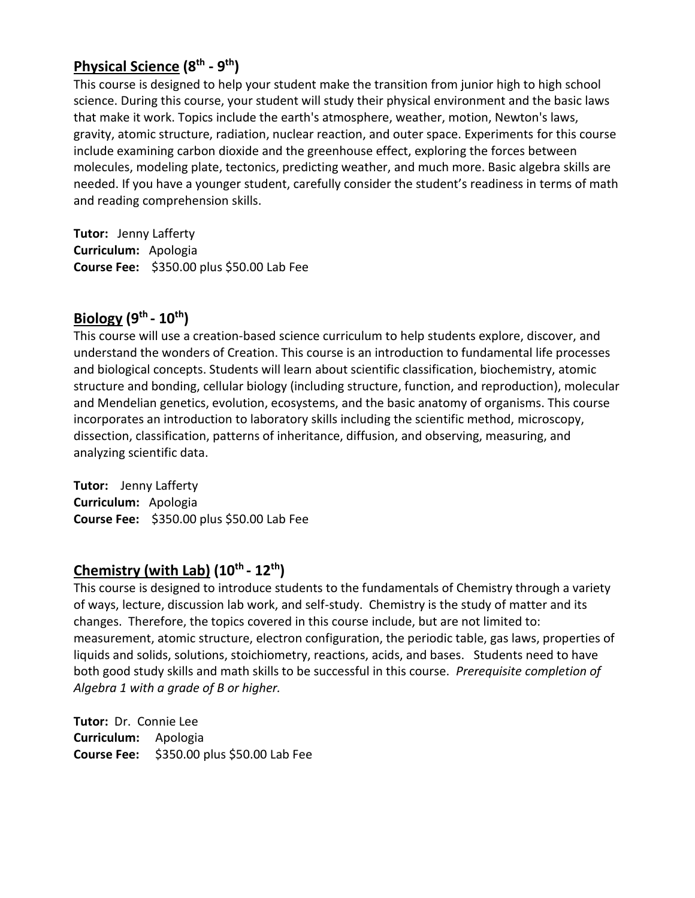# **Physical Science (8 th - 9 th)**

This course is designed to help your student make the transition from junior high to high school science. During this course, your student will study their physical environment and the basic laws that make it work. Topics include the earth's atmosphere, weather, motion, Newton's laws, gravity, atomic structure, radiation, nuclear reaction, and outer space. Experiments for this course include examining carbon dioxide and the greenhouse effect, exploring the forces between molecules, modeling plate, tectonics, predicting weather, and much more. Basic algebra skills are needed. If you have a younger student, carefully consider the student's readiness in terms of math and reading comprehension skills.

**Tutor:** Jenny Lafferty **Curriculum:** Apologia **Course Fee:** \$350.00 plus \$50.00 Lab Fee

### **Biology (9th - 10 th)**

This course will use a creation-based science curriculum to help students explore, discover, and understand the wonders of Creation. This course is an introduction to fundamental life processes and biological concepts. Students will learn about scientific classification, biochemistry, atomic structure and bonding, cellular biology (including structure, function, and reproduction), molecular and Mendelian genetics, evolution, ecosystems, and the basic anatomy of organisms. This course incorporates an introduction to laboratory skills including the scientific method, microscopy, dissection, classification, patterns of inheritance, diffusion, and observing, measuring, and analyzing scientific data.

**Tutor:** Jenny Lafferty **Curriculum:** Apologia **Course Fee:** \$350.00 plus \$50.00 Lab Fee

#### **Chemistry (with Lab) (10th - 12th)**

This course is designed to introduce students to the fundamentals of Chemistry through a variety of ways, lecture, discussion lab work, and self-study. Chemistry is the study of matter and its changes. Therefore, the topics covered in this course include, but are not limited to: measurement, atomic structure, electron configuration, the periodic table, gas laws, properties of liquids and solids, solutions, stoichiometry, reactions, acids, and bases. Students need to have both good study skills and math skills to be successful in this course. *Prerequisite completion of Algebra 1 with a grade of B or higher.*

**Tutor:** Dr. Connie Lee **Curriculum:** Apologia **Course Fee:** \$350.00 plus \$50.00 Lab Fee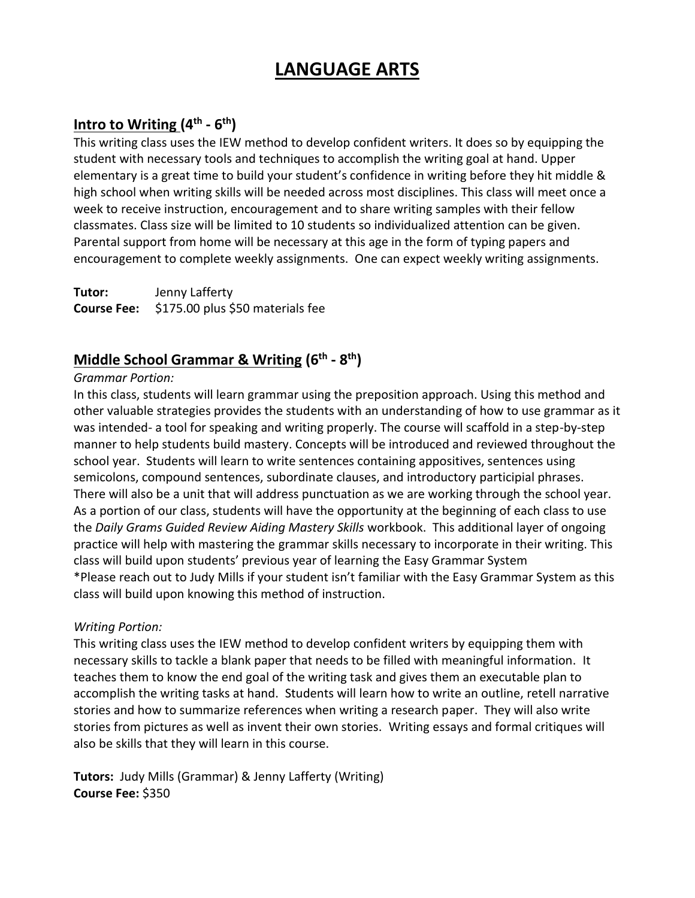# **LANGUAGE ARTS**

# **Intro to Writing (4 th - 6 th)**

This writing class uses the IEW method to develop confident writers. It does so by equipping the student with necessary tools and techniques to accomplish the writing goal at hand. Upper elementary is a great time to build your student's confidence in writing before they hit middle & high school when writing skills will be needed across most disciplines. This class will meet once a week to receive instruction, encouragement and to share writing samples with their fellow classmates. Class size will be limited to 10 students so individualized attention can be given. Parental support from home will be necessary at this age in the form of typing papers and encouragement to complete weekly assignments. One can expect weekly writing assignments.

**Tutor:** Jenny Lafferty **Course Fee:** \$175.00 plus \$50 materials fee

# **Middle School Grammar & Writing (6 th - 8 th)**

#### *Grammar Portion:*

In this class, students will learn grammar using the preposition approach. Using this method and other valuable strategies provides the students with an understanding of how to use grammar as it was intended- a tool for speaking and writing properly. The course will scaffold in a step-by-step manner to help students build mastery. Concepts will be introduced and reviewed throughout the school year. Students will learn to write sentences containing appositives, sentences using semicolons, compound sentences, subordinate clauses, and introductory participial phrases. There will also be a unit that will address punctuation as we are working through the school year. As a portion of our class, students will have the opportunity at the beginning of each class to use the *Daily Grams Guided Review Aiding Mastery Skills* workbook. This additional layer of ongoing practice will help with mastering the grammar skills necessary to incorporate in their writing. This class will build upon students' previous year of learning the Easy Grammar System \*Please reach out to Judy Mills if your student isn't familiar with the Easy Grammar System as this class will build upon knowing this method of instruction.

#### *Writing Portion:*

This writing class uses the IEW method to develop confident writers by equipping them with necessary skills to tackle a blank paper that needs to be filled with meaningful information. It teaches them to know the end goal of the writing task and gives them an executable plan to accomplish the writing tasks at hand. Students will learn how to write an outline, retell narrative stories and how to summarize references when writing a research paper. They will also write stories from pictures as well as invent their own stories. Writing essays and formal critiques will also be skills that they will learn in this course.

**Tutors:** Judy Mills (Grammar) & Jenny Lafferty (Writing) **Course Fee:** \$350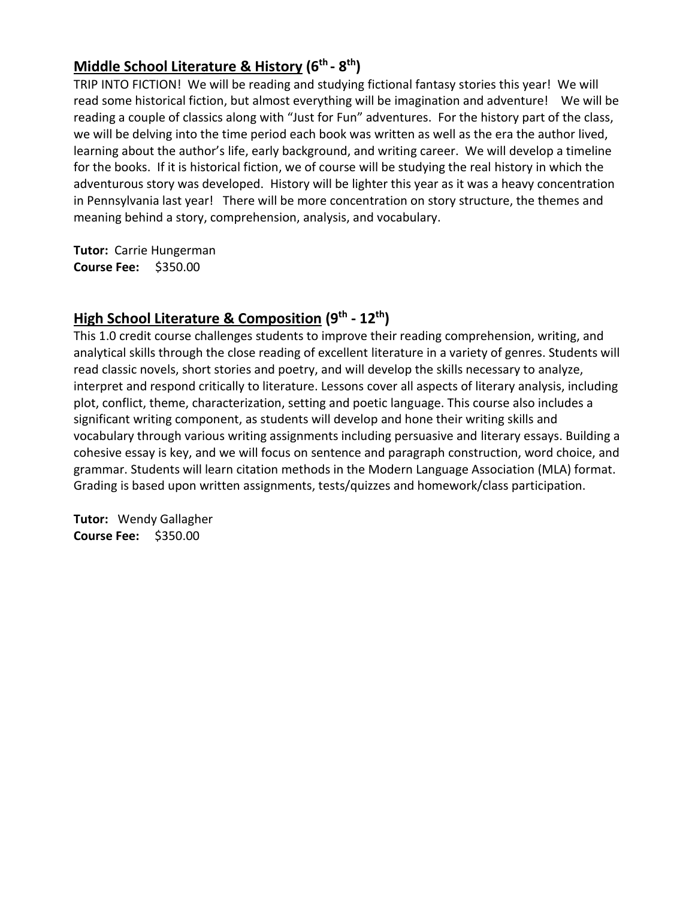# **Middle School Literature & History (6 th - 8 th)**

TRIP INTO FICTION! We will be reading and studying fictional fantasy stories this year! We will read some historical fiction, but almost everything will be imagination and adventure! We will be reading a couple of classics along with "Just for Fun" adventures. For the history part of the class, we will be delving into the time period each book was written as well as the era the author lived, learning about the author's life, early background, and writing career. We will develop a timeline for the books. If it is historical fiction, we of course will be studying the real history in which the adventurous story was developed. History will be lighter this year as it was a heavy concentration in Pennsylvania last year! There will be more concentration on story structure, the themes and meaning behind a story, comprehension, analysis, and vocabulary.

**Tutor:** Carrie Hungerman **Course Fee:** \$350.00

# **High School Literature & Composition (9th - 12th )**

This 1.0 credit course challenges students to improve their reading comprehension, writing, and analytical skills through the close reading of excellent literature in a variety of genres. Students will read classic novels, short stories and poetry, and will develop the skills necessary to analyze, interpret and respond critically to literature. Lessons cover all aspects of literary analysis, including plot, conflict, theme, characterization, setting and poetic language. This course also includes a significant writing component, as students will develop and hone their writing skills and vocabulary through various writing assignments including persuasive and literary essays. Building a cohesive essay is key, and we will focus on sentence and paragraph construction, word choice, and grammar. Students will learn citation methods in the Modern Language Association (MLA) format. Grading is based upon written assignments, tests/quizzes and homework/class participation.

**Tutor:** Wendy Gallagher **Course Fee:** \$350.00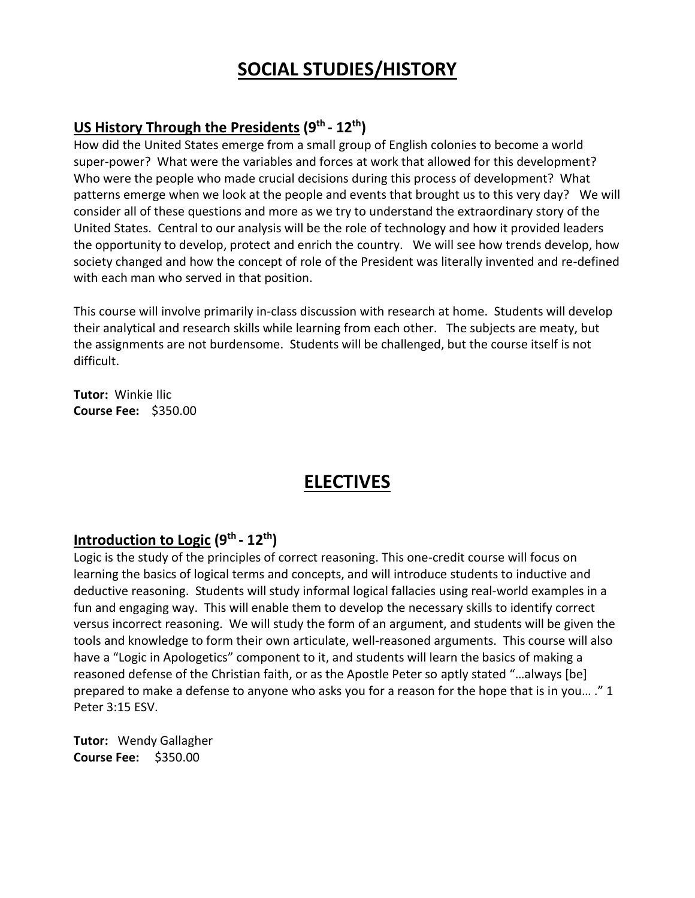# **SOCIAL STUDIES/HISTORY**

# **US History Through the Presidents (9th - 12th )**

How did the United States emerge from a small group of English colonies to become a world super-power? What were the variables and forces at work that allowed for this development? Who were the people who made crucial decisions during this process of development? What patterns emerge when we look at the people and events that brought us to this very day? We will consider all of these questions and more as we try to understand the extraordinary story of the United States. Central to our analysis will be the role of technology and how it provided leaders the opportunity to develop, protect and enrich the country. We will see how trends develop, how society changed and how the concept of role of the President was literally invented and re-defined with each man who served in that position.

This course will involve primarily in-class discussion with research at home. Students will develop their analytical and research skills while learning from each other. The subjects are meaty, but the assignments are not burdensome. Students will be challenged, but the course itself is not difficult.

**Tutor:** Winkie Ilic **Course Fee:** \$350.00

# **ELECTIVES**

### **Introduction to Logic (9th - 12th)**

Logic is the study of the principles of correct reasoning. This one-credit course will focus on learning the basics of logical terms and concepts, and will introduce students to inductive and deductive reasoning. Students will study informal logical fallacies using real-world examples in a fun and engaging way. This will enable them to develop the necessary skills to identify correct versus incorrect reasoning. We will study the form of an argument, and students will be given the tools and knowledge to form their own articulate, well-reasoned arguments. This course will also have a "Logic in Apologetics" component to it, and students will learn the basics of making a reasoned defense of the Christian faith, or as the Apostle Peter so aptly stated "…always [be] prepared to make a defense to anyone who asks you for a reason for the hope that is in you… ." 1 Peter 3:15 ESV.

**Tutor:** Wendy Gallagher **Course Fee:** \$350.00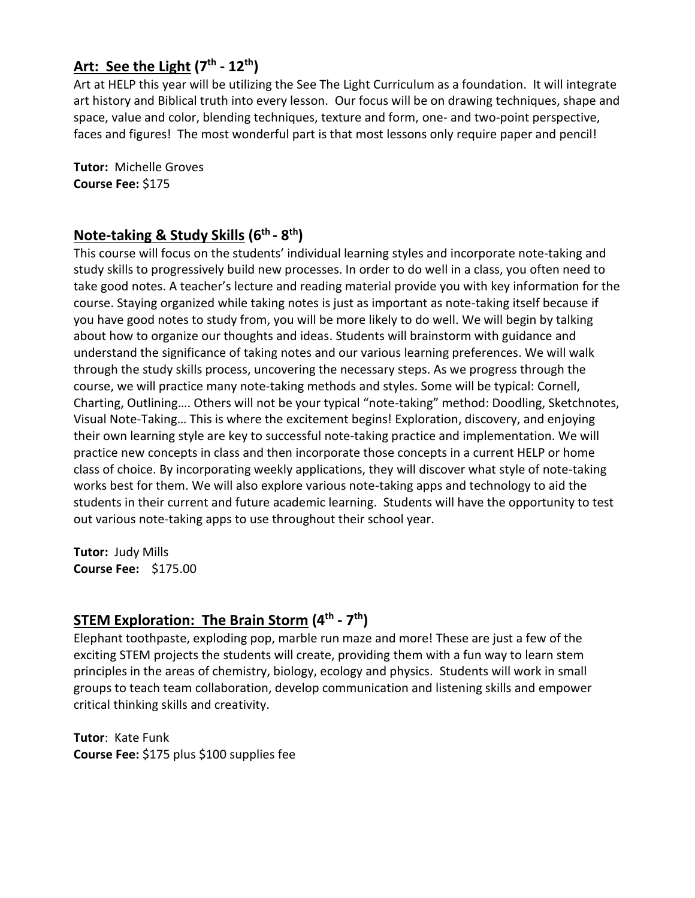# **Art: See the Light (7th - 12th )**

Art at HELP this year will be utilizing the See The Light Curriculum as a foundation. It will integrate art history and Biblical truth into every lesson. Our focus will be on drawing techniques, shape and space, value and color, blending techniques, texture and form, one- and two-point perspective, faces and figures! The most wonderful part is that most lessons only require paper and pencil!

**Tutor:** Michelle Groves **Course Fee:** \$175

### **Note-taking & Study Skills (6th - 8 th)**

This course will focus on the students' individual learning styles and incorporate note-taking and study skills to progressively build new processes. In order to do well in a class, you often need to take good notes. A teacher's lecture and reading material provide you with key information for the course. Staying organized while taking notes is just as important as note-taking itself because if you have good notes to study from, you will be more likely to do well. We will begin by talking about how to organize our thoughts and ideas. Students will brainstorm with guidance and understand the significance of taking notes and our various learning preferences. We will walk through the study skills process, uncovering the necessary steps. As we progress through the course, we will practice many note-taking methods and styles. Some will be typical: Cornell, Charting, Outlining…. Others will not be your typical "note-taking" method: Doodling, Sketchnotes, Visual Note-Taking… This is where the excitement begins! Exploration, discovery, and enjoying their own learning style are key to successful note-taking practice and implementation. We will practice new concepts in class and then incorporate those concepts in a current HELP or home class of choice. By incorporating weekly applications, they will discover what style of note-taking works best for them. We will also explore various note-taking apps and technology to aid the students in their current and future academic learning. Students will have the opportunity to test out various note-taking apps to use throughout their school year.

**Tutor:** Judy Mills **Course Fee:** \$175.00

#### **STEM Exploration: The Brain Storm (4 th - 7 th )**

Elephant toothpaste, exploding pop, marble run maze and more! These are just a few of the exciting STEM projects the students will create, providing them with a fun way to learn stem principles in the areas of chemistry, biology, ecology and physics. Students will work in small groups to teach team collaboration, develop communication and listening skills and empower critical thinking skills and creativity.

**Tutor**: Kate Funk **Course Fee:** \$175 plus \$100 supplies fee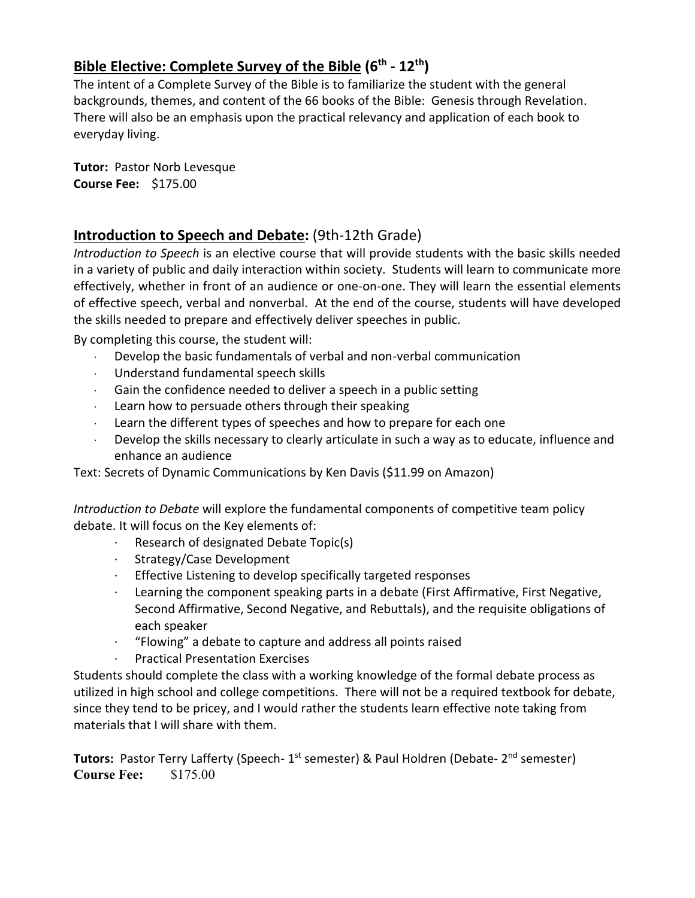### **Bible Elective: Complete Survey of the Bible (6 th - 12th)**

The intent of a Complete Survey of the Bible is to familiarize the student with the general backgrounds, themes, and content of the 66 books of the Bible: Genesis through Revelation. There will also be an emphasis upon the practical relevancy and application of each book to everyday living.

**Tutor:** Pastor Norb Levesque **Course Fee:** \$175.00

#### **Introduction to Speech and Debate:** (9th-12th Grade)

*Introduction to Speech* is an elective course that will provide students with the basic skills needed in a variety of public and daily interaction within society. Students will learn to communicate more effectively, whether in front of an audience or one-on-one. They will learn the essential elements of effective speech, verbal and nonverbal. At the end of the course, students will have developed the skills needed to prepare and effectively deliver speeches in public.

By completing this course, the student will:

- · Develop the basic fundamentals of verbal and non-verbal communication
- · Understand fundamental speech skills
- · Gain the confidence needed to deliver a speech in a public setting
- Learn how to persuade others through their speaking
- Learn the different types of speeches and how to prepare for each one
- · Develop the skills necessary to clearly articulate in such a way as to educate, influence and enhance an audience

Text: Secrets of Dynamic Communications by Ken Davis (\$11.99 on Amazon)

*Introduction to Debate* will explore the fundamental components of competitive team policy debate. It will focus on the Key elements of:

- · Research of designated Debate Topic(s)
- · Strategy/Case Development
- · Effective Listening to develop specifically targeted responses
- Learning the component speaking parts in a debate (First Affirmative, First Negative, Second Affirmative, Second Negative, and Rebuttals), and the requisite obligations of each speaker
- · "Flowing" a debate to capture and address all points raised
- · Practical Presentation Exercises

Students should complete the class with a working knowledge of the formal debate process as utilized in high school and college competitions. There will not be a required textbook for debate, since they tend to be pricey, and I would rather the students learn effective note taking from materials that I will share with them.

**Tutors:** Pastor Terry Lafferty (Speech- 1<sup>st</sup> semester) & Paul Holdren (Debate- 2<sup>nd</sup> semester) **Course Fee:** \$175.00